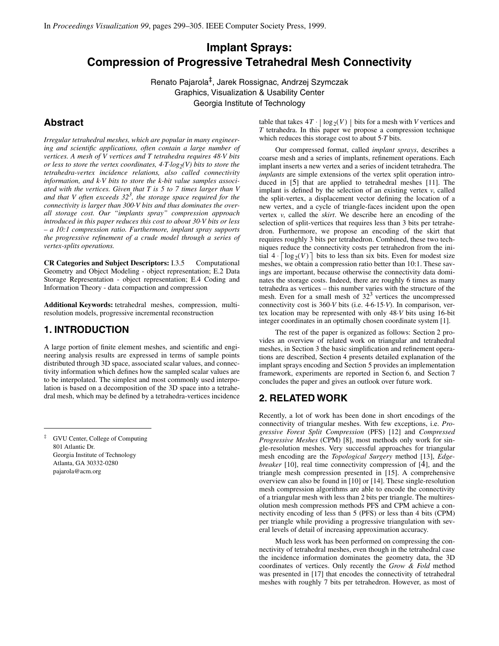# **Implant Sprays: Compression of Progressive Tetrahedral Mesh Connectivity**

Renato Pajarola‡, Jarek Rossignac, Andrzej Szymczak Graphics, Visualization & Usability Center Georgia Institute of Technology

# **Abstract**

*Irregular tetrahedral meshes, which are popular in many engineering and scientific applications, often contain a large number of vertices. A mesh of V vertices and T tetrahedra requires 48·V bits or less to store the vertex coordinates,*  $4 \cdot T \cdot log_2(V)$  *bits to store the tetrahedra-vertex incidence relations, also called connectivity information, and k·V bits to store the k-bit value samples associated with the vertices. Given that T is 5 to 7 times larger than V and that V often exceeds 323 , the storage space required for the connectivity is larger than 300·V bits and thus dominates the overall storage cost. Our "implants spray" compression approach introduced in this paper reduces this cost to about 30·V bits or less – a 10:1 compression ratio. Furthermore, implant spray supports the progressive refinement of a crude model through a series of vertex-splits operations.*

**CR Categories and Subject Descriptors:** I.3.5 Computational Geometry and Object Modeling - object representation; E.2 Data Storage Representation - object representation; E.4 Coding and Information Theory - data compaction and compression

**Additional Keywords:** tetrahedral meshes, compression, multiresolution models, progressive incremental reconstruction

### **1. INTRODUCTION**

A large portion of finite element meshes, and scientific and engineering analysis results are expressed in terms of sample points distributed through 3D space, associated scalar values, and connectivity information which defines how the sampled scalar values are to be interpolated. The simplest and most commonly used interpolation is based on a decomposition of the 3D space into a tetrahedral mesh, which may be defined by a tetrahedra-vertices incidence

‡ GVU Center, College of Computing 801 Atlantic Dr. Georgia Institute of Technology Atlanta, GA 30332-0280 pajarola@acm.org

table that takes  $4T \cdot |\log_2(V)|$  bits for a mesh with *V* vertices and *T* tetrahedra. In this paper we propose a compression technique which reduces this storage cost to about 5·*T* bits.

Our compressed format, called *implant sprays*, describes a coarse mesh and a series of implants, refinement operations. Each implant inserts a new vertex and a series of incident tetrahedra. The *implants* are simple extensions of the vertex split operation introduced in [5] that are applied to tetrahedral meshes [11]. The implant is defined by the selection of an existing vertex  $v$ , called the split-vertex, a displacement vector defining the location of a new vertex, and a cycle of triangle-faces incident upon the open vertex *v*, called the *skirt*. We describe here an encoding of the selection of split-vertices that requires less than 3 bits per tetrahedron. Furthermore, we propose an encoding of the skirt that requires roughly 3 bits per tetrahedron. Combined, these two techniques reduce the connectivity costs per tetrahedron from the initial  $4 \cdot \lceil \log_2(V) \rceil$  bits to less than six bits. Even for modest size meshes, we obtain a compression ratio better than 10:1. These savings are important, because otherwise the connectivity data dominates the storage costs. Indeed, there are roughly 6 times as many tetrahedra as vertices – this number varies with the structure of the mesh. Even for a small mesh of  $32<sup>3</sup>$  vertices the uncompressed connectivity cost is 360·*V* bits (i.e. 4.6.15·*V*). In comparison, vertex location may be represented with only 48·*V* bits using 16-bit integer coordinates in an optimally chosen coordinate system [1].

The rest of the paper is organized as follows: Section 2 provides an overview of related work on triangular and tetrahedral meshes, in Section 3 the basic simplification and refinement operations are described, Section 4 presents detailed explanation of the implant sprays encoding and Section 5 provides an implementation framework, experiments are reported in Section 6, and Section 7 concludes the paper and gives an outlook over future work.

# **2. RELATED WORK**

Recently, a lot of work has been done in short encodings of the connectivity of triangular meshes. With few exceptions, i.e. *Progressive Forest Split Compression* (PFS) [12] and *Compressed Progressive Meshes* (CPM) [8], most methods only work for single-resolution meshes. Very successful approaches for triangular mesh encoding are the *Topological Surgery* method [13], *Edgebreaker* [10], real time connectivity compression of [4], and the triangle mesh compression presented in [15]. A comprehensive overview can also be found in [10] or [14]. These single-resolution mesh compression algorithms are able to encode the connectivity of a triangular mesh with less than 2 bits per triangle. The multiresolution mesh compression methods PFS and CPM achieve a connectivity encoding of less than 5 (PFS) or less than 4 bits (CPM) per triangle while providing a progressive triangulation with several levels of detail of increasing approximation accuracy.

Much less work has been performed on compressing the connectivity of tetrahedral meshes, even though in the tetrahedral case the incidence information dominates the geometry data, the 3D coordinates of vertices. Only recently the *Grow & Fold* method was presented in [17] that encodes the connectivity of tetrahedral meshes with roughly 7 bits per tetrahedron. However, as most of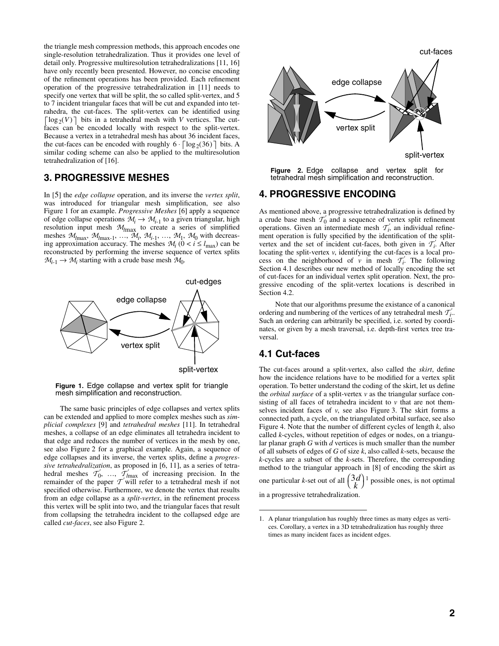the triangle mesh compression methods, this approach encodes one single-resolution tetrahedralization. Thus it provides one level of detail only. Progressive multiresolution tetrahedralizations [11, 16] have only recently been presented. However, no concise encoding of the refinement operations has been provided. Each refinement operation of the progressive tetrahedralization in [11] needs to specify one vertex that will be split, the so called split-vertex, and 5 to 7 incident triangular faces that will be cut and expanded into tetrahedra, the cut-faces. The split-vertex can be identified using  $\log_2(V)$  bits in a tetrahedral mesh with *V* vertices. The cutfaces can be encoded locally with respect to the split-vertex. Because a vertex in a tetrahedral mesh has about 36 incident faces, the cut-faces can be encoded with roughly  $6 \cdot \lceil \log_2(36) \rceil$  bits. A similar coding scheme can also be applied to the multiresolution tetrahedralization of [16].

#### **3. PROGRESSIVE MESHES**

In [5] the *edge collapse* operation, and its inverse the *vertex split*, was introduced for triangular mesh simplification, see also Figure 1 for an example. *Progressive Meshes* [6] apply a sequence of edge collapse operations  $M_i \rightarrow M_{i-1}$  to a given triangular, high resolution input mesh <sup>M</sup>*l*max to create a series of simplified meshes  $M_{\text{max}}$ ,  $M_{\text{max-1}}$ , ...,  $M_i$ ,  $M_{i-1}$ , ...,  $M_1$ ,  $M_0$  with decreasing approximation accuracy. The meshes  $M_i$  ( $0 < i \leq l_{\text{max}}$ ) can be reconstructed by performing the inverse sequence of vertex splits  $M_{i-1} \to M_i$  starting with a crude base mesh  $M_0$ .



**Figure 1.** Edge collapse and vertex split for triangle mesh simplification and reconstruction.

The same basic principles of edge collapses and vertex splits can be extended and applied to more complex meshes such as *simplicial complexes* [9] and *tetrahedral meshes* [11]. In tetrahedral meshes, a collapse of an edge eliminates all tetrahedra incident to that edge and reduces the number of vertices in the mesh by one, see also Figure 2 for a graphical example. Again, a sequence of edge collapses and its inverse, the vertex splits, define a *progressive tetrahedralization*, as proposed in [6, 11], as a series of tetrahedral meshes  $\mathcal{T}_0$ , ...,  $\mathcal{T}'_{\text{max}}$  of increasing precision. In the remainder of the paper  $\mathcal{T}'$  will refer to a tetrahedral mesh if not specified otherwise. Furthermore, we denote the vertex that results from an edge collapse as a *split-vertex*, in the refinement process this vertex will be split into two, and the triangular faces that result from collapsing the tetrahedra incident to the collapsed edge are called *cut-faces*, see also Figure 2.



**Figure 2.** Edge collapse and vertex split for tetrahedral mesh simplification and reconstruction.

# **4. PROGRESSIVE ENCODING**

As mentioned above, a progressive tetrahedralization is defined by a crude base mesh  $\mathcal{T}_0$  and a sequence of vertex split refinement operations. Given an intermediate mesh  $\mathcal{T}'_i$  an individual refinement operation is fully specified by the identification of the splitvertex and the set of incident cut-faces, both given in  $\mathcal{T}_i$ . After locating the split-vertex *v*, identifying the cut-faces is a local process on the neighborhood of *v* in mesh  $\mathcal{T}'_i$ . The following Section 4.1 describes our new method of locally encoding the set of cut-faces for an individual vertex split operation. Next, the progressive encoding of the split-vertex locations is described in Section 4.2.

Note that our algorithms presume the existance of a canonical ordering and numbering of the vertices of any tetrahedral mesh  $\mathcal{T}'_i$ . Such an ordering can arbitrarily be specified, i.e. sorted by coordinates, or given by a mesh traversal, i.e. depth-first vertex tree traversal.

## **4.1 Cut-faces**

The cut-faces around a split-vertex, also called the *skirt*, define how the incidence relations have to be modified for a vertex split operation. To better understand the coding of the skirt, let us define the *orbital surface* of a split-vertex *v* as the triangular surface consisting of all faces of tetrahedra incident to  $\nu$  that are not themselves incident faces of *v*, see also Figure 3. The skirt forms a connected path, a cycle, on the triangulated orbital surface, see also Figure 4. Note that the number of different cycles of length *k*, also called *k*-cycles, without repetition of edges or nodes, on a triangular planar graph *G* with *d* vertices is much smaller than the number of all subsets of edges of *G* of size *k*, also called *k*-sets, because the *k*-cycles are a subset of the *k*-sets. Therefore, the corresponding method to the triangular approach in [8] of encoding the skirt as one particular *k*-set out of all  $\left(\frac{3d}{k}\right)^1$  possible ones, is not optimal

in a progressive tetrahedralization.

<sup>1.</sup> A planar triangulation has roughly three times as many edges as vertices. Corollary, a vertex in a 3D tetrahedralization has roughly three times as many incident faces as incident edges.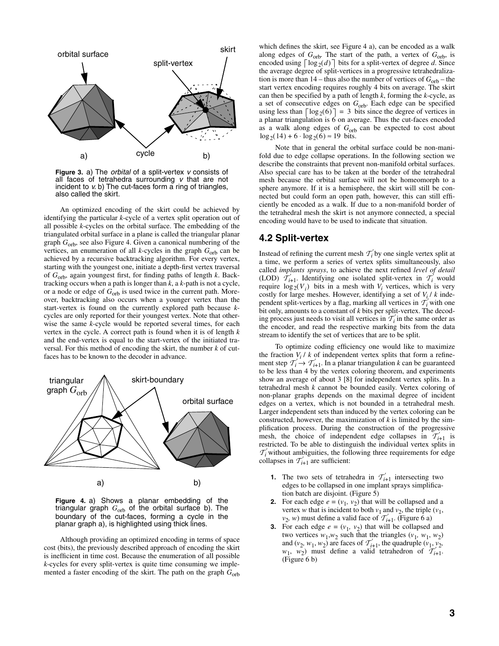

**Figure 3.** a) The *orbital* of a split-vertex *v* consists of all faces of tetrahedra surrounding *v* that are not incident to *v*. b) The cut-faces form a ring of triangles, also called the skirt.

An optimized encoding of the skirt could be achieved by identifying the particular *k*-cycle of a vertex split operation out of all possible *k*-cycles on the orbital surface. The embedding of the triangulated orbital surface in a plane is called the triangular planar graph *G*<sub>orb</sub>, see also Figure 4. Given a canonical numbering of the vertices, an enumeration of all *k*-cycles in the graph  $G_{\text{orb}}$  can be achieved by a recursive backtracking algorithm. For every vertex, starting with the youngest one, initiate a depth-first vertex traversal of *G*orb, again youngest first, for finding paths of length *k*. Backtracking occurs when a path is longer than *k*, a *k*-path is not a cycle, or a node or edge of  $G_{\text{orb}}$  is used twice in the current path. Moreover, backtracking also occurs when a younger vertex than the start-vertex is found on the currently explored path because *k*cycles are only reported for their youngest vertex. Note that otherwise the same *k*-cycle would be reported several times, for each vertex in the cycle. A correct path is found when it is of length *k* and the end-vertex is equal to the start-vertex of the initiated traversal. For this method of encoding the skirt, the number *k* of cutfaces has to be known to the decoder in advance.



**Figure 4.** a) Shows a planar embedding of the triangular graph  $G_{\text{orb}}$  of the orbital surface b). The boundary of the cut-faces, forming a cycle in the planar graph a), is highlighted using thick lines.

Although providing an optimized encoding in terms of space cost (bits), the previously described approach of encoding the skirt is inefficient in time cost. Because the enumeration of all possible *k*-cycles for every split-vertex is quite time consuming we implemented a faster encoding of the skirt. The path on the graph  $G_{\text{orb}}$  which defines the skirt, see Figure 4 a), can be encoded as a walk along edges of  $G_{\text{orb}}$ . The start of the path, a vertex of  $G_{\text{orb}}$ , is encoded using  $\lceil \log_2(d) \rceil$  bits for a split-vertex of degree *d*. Since the average degree of split-vertices in a progressive tetrahedralization is more than  $14$  – thus also the number of vertices of  $G_{\rm orb}$  – the start vertex encoding requires roughly 4 bits on average. The skirt can then be specified by a path of length *k*, forming the *k*-cycle, as a set of consecutive edges on *G*orb. Each edge can be specified using less than  $\lceil \log_2(6) \rceil = 3$  bits since the degree of vertices in a planar triangulation is 6 on average. Thus the cut-faces encoded as a walk along edges of G<sub>orb</sub> can be expected to cost about  $\log_2(14) + 6 \cdot \log_2(6) \approx 19$  bits.

Note that in general the orbital surface could be non-manifold due to edge collapse operations. In the following section we describe the constraints that prevent non-manifold orbital surfaces. Also special care has to be taken at the border of the tetrahedral mesh because the orbital surface will not be homeomorph to a sphere anymore. If it is a hemisphere, the skirt will still be connected but could form an open path, however, this can still efficiently be encoded as a walk. If due to a non-manifold border of the tetrahedral mesh the skirt is not anymore connected, a special encoding would have to be used to indicate that situation.

#### **4.2 Split-vertex**

Instead of refining the current mesh  $\mathcal{T}'_i$  by one single vertex split at a time, we perform a series of vertex splits simultaneously, also called *implants sprays*, to achieve the next refined *level of detail* (LOD)  $T'_{i+1}$ . Identifying one isolated split-vertex in  $T'_{i}$  would require  $\log_2(V_i)$  bits in a mesh with  $V_i$  vertices, which is very costly for large meshes. However, identifying a set of  $V_i / k$  independent split-vertices by a flag, marking all vertices in  $\mathcal{T}'_i$  with one bit only, amounts to a constant of *k* bits per split-vertex. The decoding process just needs to visit all vertices in  $\mathcal{T}'_i$  in the same order as the encoder, and read the respective marking bits from the data stream to identify the set of vertices that are to be split.

To optimize coding efficiency one would like to maximize the fraction  $V_i / k$  of independent vertex splits that form a refinement step  $\mathcal{T}_i \to \mathcal{T}_{i+1}$ . In a planar triangulation *k* can be guaranteed to be less than 4 by the vertex coloring theorem, and experiments show an average of about 3 [8] for independent vertex splits. In a tetrahedral mesh *k* cannot be bounded easily. Vertex coloring of non-planar graphs depends on the maximal degree of incident edges on a vertex, which is not bounded in a tetrahedral mesh. Larger independent sets than induced by the vertex coloring can be constructed, however, the maximization of *k* is limited by the simplification process. During the construction of the progressive mesh, the choice of independent edge collapses in  $\mathcal{T}_{i+1}$  is restricted. To be able to distinguish the individual vertex splits in  $T<sub>i</sub>$  without ambiguities, the following three requirements for edge collapses in  $\mathcal{T}'_{i+1}$  are sufficient:

- **1.** The two sets of tetrahedra in  $\mathcal{T}_{i+1}$  intersecting two edges to be collapsed in one implant sprays simplification batch are disjoint. (Figure 5)
- For each edge  $e = (v_1, v_2)$  that will be collapsed and a vertex *w* that is incident to both  $v_1$  and  $v_2$ , the triple ( $v_1$ ,  $v_2$ , *w*) must define a valid face of  $\overrightarrow{T}_{i+1}$ . (Figure 6 a)
- **3.** For each edge  $e = (v_1, v_2)$  that will be collapsed and two vertices  $w_1, w_2$  such that the triangles  $(v_1, w_1, w_2)$ and  $(v_2, w_1, w_2)$  are faces of  $\mathcal{T}'_{i+1}$ , the quadruple  $(v_1, v_2)$ ,  $w_1$ ,  $w_2$ ) must define a valid tetrahedron of  $\overline{T}_{i+1}$ . (Figure 6 b)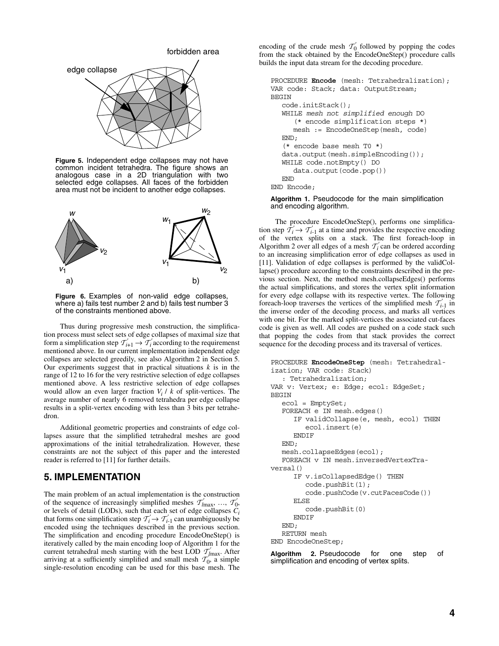

**Figure 5.** Independent edge collapses may not have common incident tetrahedra. The figure shows an analogous case in a 2D triangulation with two selected edge collapses. All faces of the forbidden area must not be incident to another edge collapses.



**Figure 6.** Examples of non-valid edge collapses, where a) fails test number 2 and b) fails test number 3 of the constraints mentioned above.

Thus during progressive mesh construction, the simplification process must select sets of edge collapses of maximal size that form a simplification step  $T'_{i+1} \to T'_i$  according to the requiremenst mentioned above. In our current implementation independent edge collapses are selected greedily, see also Algorithm 2 in Section 5. Our experiments suggest that in practical situations  $k$  is in the range of 12 to 16 for the very restrictive selection of edge collapses mentioned above. A less restrictive selection of edge collapses would allow an even larger fraction *Vi* / *k* of split-vertices. The average number of nearly 6 removed tetrahedra per edge collapse results in a split-vertex encoding with less than 3 bits per tetrahedron.

Additional geometric properties and constraints of edge collapses assure that the simplified tetrahedral meshes are good approximations of the initial tetrahedralization. However, these constraints are not the subject of this paper and the interested reader is referred to [11] for further details.

#### **5. IMPLEMENTATION**

The main problem of an actual implementation is the construction of the sequence of increasingly simplified meshes  $\mathcal{T}'_{lmax}$ , ...,  $\mathcal{T}'_{0}$ , or levels of detail (LODs), such that each set of edge collapses  $\tilde{C}_i$ that forms one simplification step  $\mathcal{T}'_i \to \mathcal{T}'_{i-1}$  can unambiguously be encoded using the techniques described in the previous section. The simplification and encoding procedure EncodeOneStep() is iteratively called by the main encoding loop of Algorithm 1 for the current tetrahedral mesh starting with the best LOD  $T'_{lmax}$ . After arriving at a sufficiently simplified and small mesh  $\mathcal{T}_0$ , a simple single-resolution encoding can be used for this base mesh. The

encoding of the crude mesh  $\mathcal{T}_0$  followed by popping the codes from the stack obtained by the EncodeOneStep() procedure calls builds the input data stream for the decoding procedure.

```
PROCEDURE Encode (mesh: Tetrahedralization);
VAR code: Stack; data: OutputStream;
BEGIN
  code.initStack();
  WHILE mesh not simplified enough DO
      (* encode simplification steps *)
     mesh := EncodeOneStep(mesh, code)
  END;
   (* encode base mesh T0 *)
  data.output(mesh.simpleEncoding());
  WHILE code.notEmpty() DO
     data.output(code.pop())
  END
END Encode;
```
#### **Algorithm 1.** Pseudocode for the main simplification and encoding algorithm.

The procedure EncodeOneStep(), performs one simplification step  $\mathcal{T}_i \to \mathcal{T}_{i-1}$  at a time and provides the respective encoding of the vertex splits on a stack. The first foreach-loop in Algorithm 2 over all edges of a mesh  $\mathcal{T}'_i$  can be ordered according to an increasing simplification error of edge collapses as used in [11]. Validation of edge collapses is performed by the validCollapse() procedure according to the constraints described in the previous section. Next, the method mesh.collapseEdges() performs the actual simplifications, and stores the vertex split information for every edge collapse with its respective vertex. The following foreach-loop traverses the vertices of the simplified mesh  $\mathcal{T}_{i-1}$  in the inverse order of the decoding process, and marks all vertices with one bit. For the marked split-vertices the associated cut-faces code is given as well. All codes are pushed on a code stack such that popping the codes from that stack provides the correct sequence for the decoding process and its traversal of vertices.

```
PROCEDURE EncodeOneStep (mesh: Tetrahedral-
ization; VAR code: Stack)
   : Tetrahedralization;
VAR v: Vertex; e: Edge; ecol: EdgeSet;
BEGIN
  ecol = EmptySet;
  FOREACH e IN mesh.edges()
      IF validCollapse(e, mesh, ecol) THEN
         ecol.insert(e)
     ENDIF
  END;
  mesh.collapseEdges(ecol);
  FOREACH v IN mesh.inversedVertexTra-
versal()
     IF v.isCollapsedEdge() THEN
        code.pushBit(1);
         code.pushCode(v.cutFacesCode())
     ELSE
         code.pushBit(0)
     ENDIF
  END;
  RETURN mesh
END EncodeOneStep;
```
**Algorithm 2.** Pseudocode for one step of simplification and encoding of vertex splits.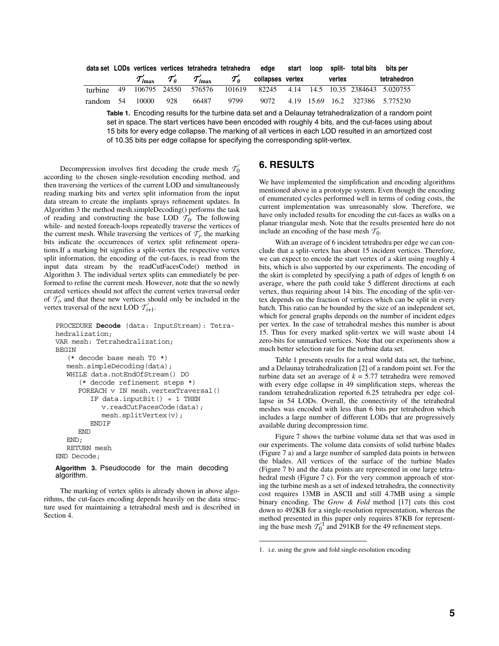|  |  |                                | data set LODs vertices vertices tetrahedra tetrahedra edge start loop split- total bits bits per                                 |  |  |                                                                              |
|--|--|--------------------------------|----------------------------------------------------------------------------------------------------------------------------------|--|--|------------------------------------------------------------------------------|
|  |  |                                | ${\cal T}_{l{\rm max}}$ ${\cal T}_{0}^{\prime}$ ${\cal T}_{l{\rm max}}^{\prime}$ ${\cal T}_{0}^{\prime}$ collapses vertex vertex |  |  | tetrahedron                                                                  |
|  |  |                                |                                                                                                                                  |  |  | turbine 49 106795 24550 576576 101619 82245 4.14 14.5 10.35 2384643 5.020755 |
|  |  | random 54 10000 928 66487 9799 |                                                                                                                                  |  |  | 9072 4.19 15.69 16.2 327386 5.775230                                         |

**Table 1.** Encoding results for the turbine data set and a Delaunay tetrahedralization of a random point set in space. The start vertices have been encoded with roughly 4 bits, and the cut-faces using about 15 bits for every edge collapse. The marking of all vertices in each LOD resulted in an amortized cost of 10.35 bits per edge collapse for specifying the corresponding split-vertex.

Decompression involves first decoding the crude mesh  $\mathcal{T}_0$ according to the chosen single-resolution encoding method, and then traversing the vertices of the current LOD and simultaneously reading marking bits and vertex split information from the input data stream to create the implants sprays refinement updates. In Algorithm 3 the method mesh.simpleDecoding() performs the task of reading and constructing the base LOD  $\mathcal{T}_0$ . The following while- and nested foreach-loops repeatedly traverse the vertices of the current mesh. While traversing the vertices of  $\mathcal{T}'_i$ , the marking bits indicate the occurrences of vertex split refinement operations.If a marking bit signifies a split-vertex the respective vertex split information, the encoding of the cut-faces, is read from the input data stream by the readCutFacesCode() method in Algorithm 3. The individual vertex splits can emmediately be performed to refine the current mesh. However, note that the so newly created vertices should not affect the current vertex traversal order of  $\mathcal{T}'_i$  and that these new vertices should only be included in the vertex traversal of the next LOD  $\mathcal{T}_{i+1}$ .

```
PROCEDURE Decode (data: InputStream): Tetra-
hedralization;
VAR mesh: Tetrahedralization;
BEGIN
   (* decode base mesh T0 *)
  mesh.simpleDecoding(data);
  WHILE data.notEndOfStream() DO
      (* decode refinement steps *)
     FOREACH v IN mesh.vertexTraversal()
        IF data.inputBit() = 1 THEN
           v.readCutFacesCode(data);
           mesh.splitVertex(v);
        ENDIF
     END
  END;
  RETURN mesh
END Decode;
```
**Algorithm 3.** Pseudocode for the main decoding algorithm.

The marking of vertex splits is already shown in above algorithms, the cut-faces encoding depends heavily on the data structure used for maintaining a tetrahedral mesh and is described in Section 4.

# **6. RESULTS**

We have implemented the simplification and encoding algorithms mentioned above in a prototype system. Even though the encoding of enumerated cycles performed well in terms of coding costs, the current implementation was unreasonably slow. Therefore, we have only included results for encoding the cut-faces as walks on a planar triangular mesh. Note that the results presented here do not include an encoding of the base mesh  $\mathcal{T}_0$ .

With an average of 6 incident tetrahedra per edge we can conclude that a split-vertex has about 15 incident vertices. Therefore, we can expect to encode the start vertex of a skirt using roughly 4 bits, which is also supported by our experiments. The encoding of the skirt is completed by specifying a path of edges of length 6 on average, where the path could take 5 different directions at each vertex, thus requiring about 14 bits. The encoding of the split-vertex depends on the fraction of vertices which can be split in every batch. This ratio can be bounded by the size of an independent set, which for general graphs depends on the number of incident edges per vertex. In the case of tetrahedral meshes this number is about 15. Thus for every marked split-vertex we will waste about 14 zero-bits for unmarked vertices. Note that our experiments show a much better selection rate for the turbine data set.

Table 1 presents results for a real world data set, the turbine, and a Delaunay tetrahedralization [2] of a random point set. For the turbine data set an average of  $k = 5.77$  tetrahedra were removed with every edge collapse in 49 simplification steps, whereas the random tetrahedralization reported 6.25 tetrahedra per edge collapse in 54 LODs. Overall, the connectivity of the tetrahedral meshes was encoded with less than 6 bits per tetrahedron which includes a large number of different LODs that are progressively available during decompression time.

Figure 7 shows the turbine volume data set that was used in our experiments. The volume data consists of solid turbine blades (Figure 7 a) and a large number of sampled data points in between the blades. All vertices of the surface of the turbine blades (Figure 7 b) and the data points are represented in one large tetrahedral mesh (Figure 7 c). For the very common approach of storing the turbine mesh as a set of indexed tetrahedra, the connectivity cost requires 13MB in ASCII and still 4.7MB using a simple binary encoding. The *Grow & Fold* method [17] cuts this cost down to 492KB for a single-resolution representation, whereas the method presented in this paper only requires 87KB for representing the base mesh  $T_0^{'1}$  and 291KB for the 49 refinement steps.

<sup>1.</sup> i.e. using the grow and fold single-resolution encoding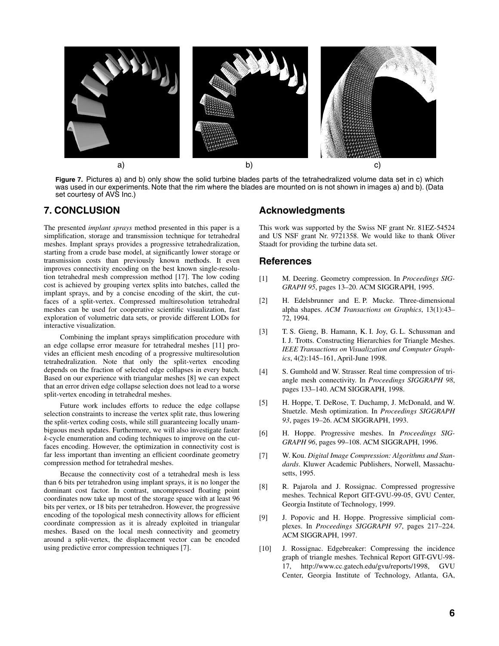

**Figure 7.** Pictures a) and b) only show the solid turbine blades parts of the tetrahedralized volume data set in c) which was used in our experiments. Note that the rim where the blades are mounted on is not shown in images a) and b). (Data set courtesy of AVS Inc.)

# **7. CONCLUSION**

The presented *implant sprays* method presented in this paper is a simplification, storage and transmission technique for tetrahedral meshes. Implant sprays provides a progressive tetrahedralization, starting from a crude base model, at significantly lower storage or transmission costs than previously known methods. It even improves connectivity encoding on the best known single-resolution tetrahedral mesh compression method [17]. The low coding cost is achieved by grouping vertex splits into batches, called the implant sprays, and by a concise encoding of the skirt, the cutfaces of a split-vertex. Compressed multiresolution tetrahedral meshes can be used for cooperative scientific visualization, fast exploration of volumetric data sets, or provide different LODs for interactive visualization.

Combining the implant sprays simplification procedure with an edge collapse error measure for tetrahedral meshes [11] provides an efficient mesh encoding of a progressive multiresolution tetrahedralization. Note that only the split-vertex encoding depends on the fraction of selected edge collapses in every batch. Based on our experience with triangular meshes [8] we can expect that an error driven edge collapse selection does not lead to a worse split-vertex encoding in tetrahedral meshes.

Future work includes efforts to reduce the edge collapse selection constraints to increase the vertex split rate, thus lowering the split-vertex coding costs, while still guaranteeing locally unambiguous mesh updates. Furthermore, we will also investigate faster *k*-cycle enumeration and coding techniques to improve on the cutfaces encoding. However, the optimization in connectivity cost is far less important than inventing an efficient coordinate geometry compression method for tetrahedral meshes.

Because the connectivity cost of a tetrahedral mesh is less than 6 bits per tetrahedron using implant sprays, it is no longer the dominant cost factor. In contrast, uncompressed floating point coordinates now take up most of the storage space with at least 96 bits per vertex, or 18 bits per tetrahedron. However, the progressive encoding of the topological mesh connectivity allows for efficient coordinate compression as it is already exploited in triangular meshes. Based on the local mesh connectivity and geometry around a split-vertex, the displacement vector can be encoded using predictive error compression techniques [7].

#### **Acknowledgments**

This work was supported by the Swiss NF grant Nr. 81EZ-54524 and US NSF grant Nr. 9721358. We would like to thank Oliver Staadt for providing the turbine data set.

#### **References**

- [1] M. Deering. Geometry compression. In *Proceedings SIG-GRAPH 95*, pages 13–20. ACM SIGGRAPH, 1995.
- [2] H. Edelsbrunner and E. P. Mucke. Three-dimensional alpha shapes. *ACM Transactions on Graphics*, 13(1):43– 72, 1994.
- [3] T. S. Gieng, B. Hamann, K. I. Joy, G. L. Schussman and I. J. Trotts. Constructing Hierarchies for Triangle Meshes. *IEEE Transactions on Visualization and Computer Graphics*, 4(2):145–161, April-June 1998.
- [4] S. Gumhold and W. Strasser. Real time compression of triangle mesh connectivity. In *Proceedings SIGGRAPH 98*, pages 133–140. ACM SIGGRAPH, 1998.
- [5] H. Hoppe, T. DeRose, T. Duchamp, J. McDonald, and W. Stuetzle. Mesh optimization. In *Proceedings SIGGRAPH 93*, pages 19–26. ACM SIGGRAPH, 1993.
- [6] H. Hoppe. Progressive meshes. In *Proceedings SIG-GRAPH 96*, pages 99–108. ACM SIGGRAPH, 1996.
- [7] W. Kou. *Digital Image Compression: Algorithms and Standards*. Kluwer Academic Publishers, Norwell, Massachusetts, 1995.
- [8] R. Pajarola and J. Rossignac. Compressed progressive meshes. Technical Report GIT-GVU-99-05, GVU Center, Georgia Institute of Technology, 1999.
- [9] J. Popovic and H. Hoppe. Progressive simplicial complexes. In *Proceedings SIGGRAPH 97*, pages 217–224. ACM SIGGRAPH, 1997.
- [10] J. Rossignac. Edgebreaker: Compressing the incidence graph of triangle meshes. Technical Report GIT-GVU-98- 17, http://www.cc.gatech.edu/gvu/reports/1998, GVU Center, Georgia Institute of Technology, Atlanta, GA,